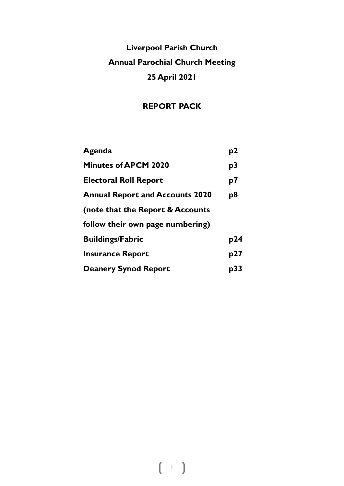# **Liverpool Parish Church Annual Parochial Church Meeting 25 April 2021**

# **REPORT PACK**

| Agenda                                 | p2  |
|----------------------------------------|-----|
| <b>Minutes of APCM 2020</b>            | p3  |
| <b>Electoral Roll Report</b>           | p7  |
| <b>Annual Report and Accounts 2020</b> | p8  |
| (note that the Report & Accounts       |     |
| follow their own page numbering)       |     |
| <b>Buildings/Fabric</b>                | p24 |
| <b>Insurance Report</b>                | p27 |
| <b>Deanery Synod Report</b>            | p33 |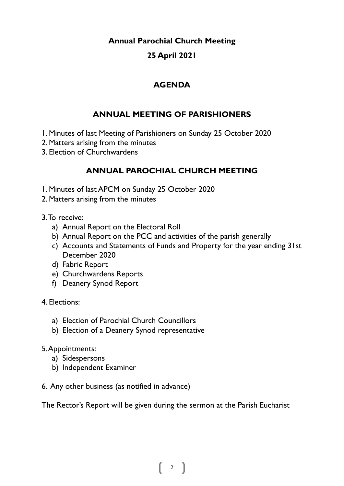# **Annual Parochial Church Meeting**

# **25 April 2021**

# **AGENDA**

# **ANNUAL MEETING OF PARISHIONERS**

1. Minutes of last Meeting of Parishioners on Sunday 25 October 2020

- 2. Matters arising from the minutes
- 3. Election of Churchwardens

# **ANNUAL PAROCHIAL CHURCH MEETING**

- 1. Minutes of last APCM on Sunday 25 October 2020
- 2. Matters arising from the minutes
- 3. To receive:
	- a) Annual Report on the Electoral Roll
	- b) Annual Report on the PCC and activities of the parish generally
	- c) Accounts and Statements of Funds and Property for the year ending 31st December 2020
	- d) Fabric Report
	- e) Churchwardens Reports
	- f) Deanery Synod Report
- 4. Elections:
	- a) Election of Parochial Church Councillors
	- b) Election of a Deanery Synod representative
- 5. Appointments:
	- a) Sidespersons
	- b) Independent Examiner
- 6. Any other business (as notified in advance)

The Rector's Report will be given during the sermon at the Parish Eucharist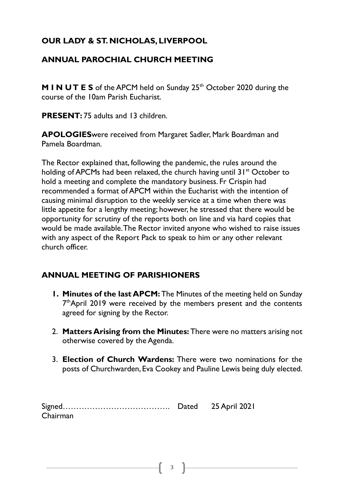# **OUR LADY & ST. NICHOLAS, LIVERPOOL**

# **ANNUAL PAROCHIAL CHURCH MEETING**

**M I N UT E S** of the APCM held on Sunday 25<sup>th</sup> October 2020 during the course of the 10am Parish Eucharist.

**PRESENT: 75 adults and 13 children.** 

**APOLOGIES**were received from Margaret Sadler, Mark Boardman and Pamela Boardman.

The Rector explained that, following the pandemic, the rules around the holding of APCMs had been relaxed, the church having until  $31<sup>st</sup>$  October to hold a meeting and complete the mandatory business. Fr Crispin had recommended a format of APCM within the Eucharist with the intention of causing minimal disruption to the weekly service at a time when there was little appetite for a lengthy meeting; however, he stressed that there would be opportunity for scrutiny of the reports both on line and via hard copies that would be made available. The Rector invited anyone who wished to raise issues with any aspect of the Report Pack to speak to him or any other relevant church officer.

# **ANNUAL MEETING OF PARISHIONERS**

- **1. Minutes of the last APCM:** The Minutes of the meeting held on Sunday 7<sup>th</sup>April 2019 were received by the members present and the contents agreed for signing by the Rector.
- 2. **Matters Arising from the Minutes:** There were no matters arising not otherwise covered by the Agenda.
- 3. **Election of Church Wardens:** There were two nominations for the posts of Churchwarden, Eva Cookey and Pauline Lewis being duly elected.

Signed…………………………………. Dated 25 April 2021 Chairman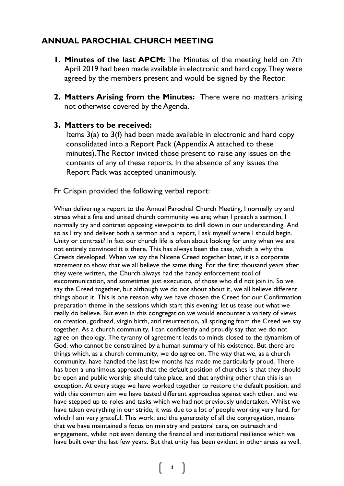# **ANNUAL PAROCHIAL CHURCH MEETING**

- **1. Minutes of the last APCM:** The Minutes of the meeting held on 7th April 2019 had been made available in electronic and hard copy. They were agreed by the members present and would be signed by the Rector.
- **2. Matters Arising from the Minutes:** There were no matters arising not otherwise covered by the Agenda.

# **3. Matters to be received:**

Items 3(a) to 3(f) had been made available in electronic and hard copy consolidated into a Report Pack (Appendix A attached to these minutes). The Rector invited those present to raise any issues on the contents of any of these reports. In the absence of any issues the Report Pack was accepted unanimously.

Fr Crispin provided the following verbal report:

When delivering a report to the Annual Parochial Church Meeting, I normally try and stress what a fine and united church community we are; when I preach a sermon, I normally try and contrast opposing viewpoints to drill down in our understanding. And so as I try and deliver both a sermon and a report, I ask myself where I should begin. Unity or contrast? In fact our church life is often about looking for unity when we are not entirely convinced it is there. This has always been the case, which is why the Creeds developed. When we say the Nicene Creed together later, it is a corporate statement to show that we all believe the same thing. For the first thousand years after they were written, the Church always had the handy enforcement tool of excommunication, and sometimes just execution, of those who did not join in. So we say the Creed together, but although we do not shout about it, we all believe different things about it. This is one reason why we have chosen the Creed for our Confirmation preparation theme in the sessions which start this evening: let us tease out what we really do believe. But even in this congregation we would encounter a variety of views on creation, godhead, virgin birth, and resurrection, all springing from the Creed we say together. As a church community, I can confidently and proudly say that we do not agree on theology. The tyranny of agreement leads to minds closed to the dynamism of God, who cannot be constrained by a human summary of his existence. But there are things which, as a church community, we do agree on. The way that we, as a church community, have handled the last few months has made me particularly proud. There has been a unanimous approach that the default position of churches is that they should be open and public worship should take place, and that anything other than this is an exception. At every stage we have worked together to restore the default position, and with this common aim we have tested different approaches against each other, and we have stepped up to roles and tasks which we had not previously undertaken. Whilst we have taken everything in our stride, it was due to a lot of people working very hard, for which I am very grateful. This work, and the generosity of all the congregation, means that we have maintained a focus on ministry and pastoral care, on outreach and engagement, whilst not even denting the financial and institutional resilience which we have built over the last few years. But that unity has been evident in other areas as well.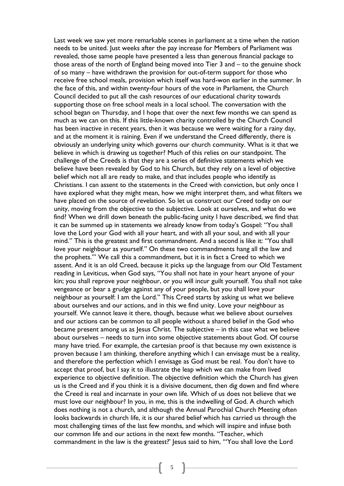Last week we saw yet more remarkable scenes in parliament at a time when the nation needs to be united. Just weeks after the pay increase for Members of Parliament was revealed, those same people have presented a less than generous financial package to those areas of the north of England being moved into Tier 3 and – to the genuine shock of so many – have withdrawn the provision for out-of-term support for those who receive free school meals, provision which itself was hard-won earlier in the summer. In the face of this, and within twenty-four hours of the vote in Parliament, the Church Council decided to put all the cash resources of our educational charity towards supporting those on free school meals in a local school. The conversation with the school began on Thursday, and I hope that over the next few months we can spend as much as we can on this. If this little-known charity controlled by the Church Council has been inactive in recent years, then it was because we were waiting for a rainy day, and at the moment it is raining. Even if we understand the Creed differently, there is obviously an underlying unity which governs our church community. What is it that we believe in which is drawing us together? Much of this relies on our standpoint. The challenge of the Creeds is that they are a series of definitive statements which we believe have been revealed by God to his Church, but they rely on a level of objective belief which not all are ready to make, and that includes people who identify as Christians. I can assent to the statements in the Creed with conviction, but only once I have explored what they might mean, how we might interpret them, and what filters we have placed on the source of revelation. So let us construct our Creed today on our unity, moving from the objective to the subjective. Look at ourselves, and what do we find? When we drill down beneath the public-facing unity I have described, we find that it can be summed up in statements we already know from today's Gospel: "You shall love the Lord your God with all your heart, and with all your soul, and with all your mind." This is the greatest and first commandment. And a second is like it: "You shall love your neighbour as yourself." On these two commandments hang all the law and the prophets.'" We call this a commandment, but it is in fact a Creed to which we assent. And it is an old Creed, because it picks up the language from our Old Testament reading in Leviticus, when God says, "You shall not hate in your heart anyone of your kin; you shall reprove your neighbour, or you will incur guilt yourself. You shall not take vengeance or bear a grudge against any of your people, but you shall love your neighbour as yourself: I am the Lord." This Creed starts by asking us what we believe about ourselves and our actions, and in this we find unity. Love your neighbour as yourself. We cannot leave it there, though, because what we believe about ourselves and our actions can be common to all people without a shared belief in the God who became present among us as Jesus Christ. The subjective – in this case what we believe about ourselves – needs to turn into some objective statements about God. Of course many have tried. For example, the cartesian proof is that because my own existence is proven because I am thinking, therefore anything which I can envisage must be a reality, and therefore the perfection which I envisage as God must be real. You don't have to accept that proof, but I say it to illustrate the leap which we can make from lived experience to objective definition. The objective definition which the Church has given us is the Creed and if you think it is a divisive document, then dig down and find where the Creed is real and incarnate in your own life. Which of us does not believe that we must love our neighbour? In you, in me, this is the indwelling of God. A church which does nothing is not a church, and although the Annual Parochial Church Meeting often looks backwards in church life, it is our shared belief which has carried us through the most challenging times of the last few months, and which will inspire and infuse both our common life and our actions in the next few months. "Teacher, which commandment in the law is the greatest?' Jesus said to him, '"You shall love the Lord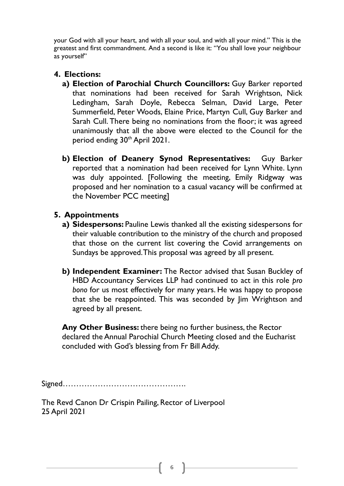your God with all your heart, and with all your soul, and with all your mind." This is the greatest and first commandment. And a second is like it: "You shall love your neighbour as yourself"

# **4. Elections:**

- **a) Election of Parochial Church Councillors:** Guy Barker reported that nominations had been received for Sarah Wrightson, Nick Ledingham, Sarah Doyle, Rebecca Selman, David Large, Peter Summerfield, Peter Woods, Elaine Price, Martyn Cull, Guy Barker and Sarah Cull. There being no nominations from the floor; it was agreed unanimously that all the above were elected to the Council for the period ending 30th April 2021.
- **b) Election of Deanery Synod Representatives:** Guy Barker reported that a nomination had been received for Lynn White. Lynn was duly appointed. [Following the meeting, Emily Ridgway was proposed and her nomination to a casual vacancy will be confirmed at the November PCC meeting]

# **5. Appointments**

- **a) Sidespersons:** Pauline Lewis thanked all the existing sidespersons for their valuable contribution to the ministry of the church and proposed that those on the current list covering the Covid arrangements on Sundays be approved. This proposal was agreed by all present.
- **b) Independent Examiner:** The Rector advised that Susan Buckley of HBD Accountancy Services LLP had continued to act in this role *pro bono* for us most effectively for many years. He was happy to propose that she be reappointed. This was seconded by Jim Wrightson and agreed by all present.

**Any Other Business:** there being no further business, the Rector declared the Annual Parochial Church Meeting closed and the Eucharist concluded with God's blessing from Fr Bill Addy.

Signed……………………………………….

The Revd Canon Dr Crispin Pailing, Rector of Liverpool 25 April 2021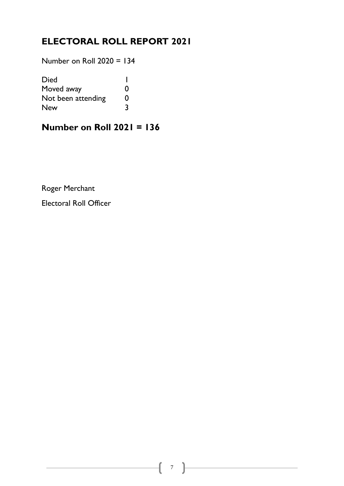# **ELECTORAL ROLL REPORT 2021**

Number on Roll 2020 = 134

| <b>Died</b>        |   |
|--------------------|---|
| Moved away         | 0 |
| Not been attending | 0 |
| <b>New</b>         | 3 |

# **Number on Roll 2021 = 136**

Roger Merchant

Electoral Roll Officer

and the control of the control of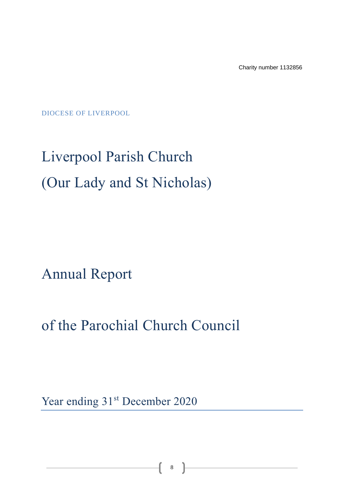Charity number 1132856

DIOCESE OF LIVERPOOL

# Liverpool Parish Church (Our Lady and St Nicholas)

Annual Report

of the Parochial Church Council

Year ending 31<sup>st</sup> December 2020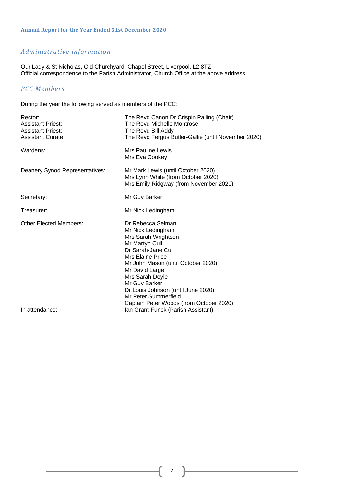# *Administrative information*

Our Lady & St Nicholas, Old Churchyard, Chapel Street, Liverpool. L2 8TZ Official correspondence to the Parish Administrator, Church Office at the above address.

# *PCC Members*

During the year the following served as members of the PCC:

| Rector:<br><b>Assistant Priest:</b><br><b>Assistant Priest:</b><br><b>Assistant Curate:</b> | The Revd Canon Dr Crispin Pailing (Chair)<br>The Revd Michelle Montrose<br>The Revd Bill Addy<br>The Revd Fergus Butler-Gallie (until November 2020)                                                                                                                                                                           |
|---------------------------------------------------------------------------------------------|--------------------------------------------------------------------------------------------------------------------------------------------------------------------------------------------------------------------------------------------------------------------------------------------------------------------------------|
| Wardens:                                                                                    | <b>Mrs Pauline Lewis</b><br>Mrs Eva Cookey                                                                                                                                                                                                                                                                                     |
| Deanery Synod Representatives:                                                              | Mr Mark Lewis (until October 2020)<br>Mrs Lynn White (from October 2020)<br>Mrs Emily Ridgway (from November 2020)                                                                                                                                                                                                             |
| Secretary:                                                                                  | Mr Guy Barker                                                                                                                                                                                                                                                                                                                  |
| Treasurer:                                                                                  | Mr Nick Ledingham                                                                                                                                                                                                                                                                                                              |
| <b>Other Elected Members:</b>                                                               | Dr Rebecca Selman<br>Mr Nick Ledingham<br>Mrs Sarah Wrightson<br>Mr Martyn Cull<br>Dr Sarah-Jane Cull<br>Mrs Elaine Price<br>Mr John Mason (until October 2020)<br>Mr David Large<br>Mrs Sarah Doyle<br>Mr Guy Barker<br>Dr Louis Johnson (until June 2020)<br>Mr Peter Summerfield<br>Captain Peter Woods (from October 2020) |
| In attendance:                                                                              | Ian Grant-Funck (Parish Assistant)                                                                                                                                                                                                                                                                                             |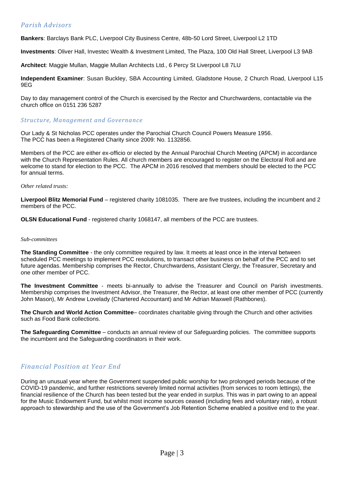# *Parish Advisors*

**Bankers**: Barclays Bank PLC, Liverpool City Business Centre, 48b-50 Lord Street, Liverpool L2 1TD

**Investments**: Oliver Hall, Investec Wealth & Investment Limited, The Plaza, 100 Old Hall Street, Liverpool L3 9AB

**Architect**: Maggie Mullan, Maggie Mullan Architects Ltd., 6 Percy St Liverpool L8 7LU

**Independent Examiner**: Susan Buckley, SBA Accounting Limited, Gladstone House, 2 Church Road, Liverpool L15 9EG

Day to day management control of the Church is exercised by the Rector and Churchwardens, contactable via the church office on 0151 236 5287

#### *Structure, Management and Governance*

Our Lady & St Nicholas PCC operates under the Parochial Church Council Powers Measure 1956. The PCC has been a Registered Charity since 2009: No. 1132856.

Members of the PCC are either ex-officio or elected by the Annual Parochial Church Meeting (APCM) in accordance with the Church Representation Rules. All church members are encouraged to register on the Electoral Roll and are welcome to stand for election to the PCC. The APCM in 2016 resolved that members should be elected to the PCC for annual terms.

#### *Other related trusts:*

**Liverpool Blitz Memorial Fund** – registered charity 1081035. There are five trustees, including the incumbent and 2 members of the PCC.

**OLSN Educational Fund** - registered charity 1068147, all members of the PCC are trustees.

#### *Sub-committees*

**The Standing Committee** - the only committee required by law. It meets at least once in the interval between scheduled PCC meetings to implement PCC resolutions, to transact other business on behalf of the PCC and to set future agendas. Membership comprises the Rector, Churchwardens, Assistant Clergy, the Treasurer, Secretary and one other member of PCC.

**The Investment Committee** - meets bi-annually to advise the Treasurer and Council on Parish investments. Membership comprises the Investment Advisor, the Treasurer, the Rector, at least one other member of PCC (currently John Mason), Mr Andrew Lovelady (Chartered Accountant) and Mr Adrian Maxwell (Rathbones).

**The Church and World Action Committee**– coordinates charitable giving through the Church and other activities such as Food Bank collections.

**The Safeguarding Committee** – conducts an annual review of our Safeguarding policies. The committee supports the incumbent and the Safeguarding coordinators in their work.

# *Financial Position at Year End*

During an unusual year where the Government suspended public worship for two prolonged periods because of the COVID-19 pandemic, and further restrictions severely limited normal activities (from services to room lettings), the financial resilience of the Church has been tested but the year ended in surplus. This was in part owing to an appeal for the Music Endowment Fund, but whilst most income sources ceased (including fees and voluntary rate), a robust approach to stewardship and the use of the Government's Job Retention Scheme enabled a positive end to the year.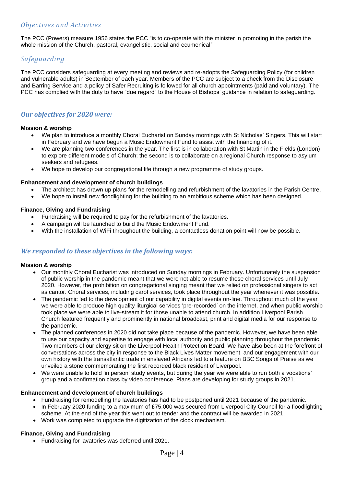The PCC (Powers) measure 1956 states the PCC "is to co-operate with the minister in promoting in the parish the whole mission of the Church, pastoral, evangelistic, social and ecumenical"

# *Safeguarding*

The PCC considers safeguarding at every meeting and reviews and re-adopts the Safeguarding Policy (for children and vulnerable adults) in September of each year. Members of the PCC are subject to a check from the Disclosure and Barring Service and a policy of Safer Recruiting is followed for all church appointments (paid and voluntary). The PCC has complied with the duty to have "due regard" to the House of Bishops' guidance in relation to safeguarding.

# *Our objectives for 2020 were:*

## **Mission & worship**

- We plan to introduce a monthly Choral Eucharist on Sunday mornings with St Nicholas' Singers. This will start in February and we have begun a Music Endowment Fund to assist with the financing of it.
- We are planning two conferences in the year. The first is in collaboration with St Martin in the Fields (London) to explore different models of Church; the second is to collaborate on a regional Church response to asylum seekers and refugees.
- We hope to develop our congregational life through a new programme of study groups.

## **Enhancement and development of church buildings**

- The architect has drawn up plans for the remodelling and refurbishment of the lavatories in the Parish Centre.
- We hope to install new floodlighting for the building to an ambitious scheme which has been designed.

## **Finance, Giving and Fundraising**

- Fundraising will be required to pay for the refurbishment of the lavatories.
- A campaign will be launched to build the Music Endowment Fund.
- With the installation of WiFi throughout the building, a contactless donation point will now be possible.

# *We responded to these objectives in the following ways:*

#### **Mission & worship**

- Our monthly Choral Eucharist was introduced on Sunday mornings in February. Unfortunately the suspension of public worship in the pandemic meant that we were not able to resume these choral services until July 2020. However, the prohibition on congregational singing meant that we relied on professional singers to act as cantor. Choral services, including carol services, took place throughout the year whenever it was possible.
- The pandemic led to the development of our capability in digital events on-line. Throughout much of the year we were able to produce high quality liturgical services 'pre-recorded' on the internet, and when public worship took place we were able to live-stream it for those unable to attend church. In addition Liverpool Parish Church featured frequently and prominently in national broadcast, print and digital media for our response to the pandemic.
- The planned conferences in 2020 did not take place because of the pandemic. However, we have been able to use our capacity and expertise to engage with local authority and public planning throughout the pandemic. Two members of our clergy sit on the Liverpool Health Protection Board. We have also been at the forefront of conversations across the city in response to the Black Lives Matter movement, and our engagement with our own history with the transatlantic trade in enslaved Africans led to a feature on BBC Songs of Praise as we unveiled a stone commemorating the first recorded black resident of Liverpool.
- We were unable to hold 'in person' study events, but during the year we were able to run both a vocations' group and a confirmation class by video conference. Plans are developing for study groups in 2021.

#### **Enhancement and development of church buildings**

- Fundraising for remodelling the lavatories has had to be postponed until 2021 because of the pandemic.
- In February 2020 funding to a maximum of £75,000 was secured from Liverpool City Council for a floodlighting scheme. At the end of the year this went out to tender and the contract will be awarded in 2021.
- Work was completed to upgrade the digitization of the clock mechanism.

#### **Finance, Giving and Fundraising**

• Fundraising for lavatories was deferred until 2021.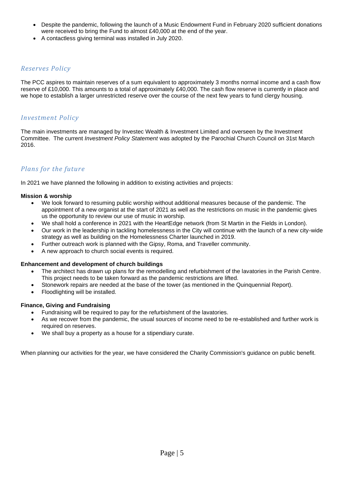- Despite the pandemic, following the launch of a Music Endowment Fund in February 2020 sufficient donations were received to bring the Fund to almost £40,000 at the end of the year.
- A contactless giving terminal was installed in July 2020.

# *Reserves Policy*

The PCC aspires to maintain reserves of a sum equivalent to approximately 3 months normal income and a cash flow reserve of £10,000. This amounts to a total of approximately £40,000. The cash flow reserve is currently in place and we hope to establish a larger unrestricted reserve over the course of the next few years to fund clergy housing.

# *Investment Policy*

The main investments are managed by Investec Wealth & Investment Limited and overseen by the Investment Committee. The current *Investment Policy Statement* was adopted by the Parochial Church Council on 31st March 2016.

# *Plans for the future*

In 2021 we have planned the following in addition to existing activities and projects:

#### **Mission & worship**

- We look forward to resuming public worship without additional measures because of the pandemic. The appointment of a new organist at the start of 2021 as well as the restrictions on music in the pandemic gives us the opportunity to review our use of music in worship.
- We shall hold a conference in 2021 with the HeartEdge network (from St Martin in the Fields in London).
- Our work in the leadership in tackling homelessness in the City will continue with the launch of a new city-wide strategy as well as building on the Homelessness Charter launched in 2019.
- Further outreach work is planned with the Gipsy, Roma, and Traveller community.
- A new approach to church social events is required.

#### **Enhancement and development of church buildings**

- The architect has drawn up plans for the remodelling and refurbishment of the lavatories in the Parish Centre. This project needs to be taken forward as the pandemic restrictions are lifted.
- Stonework repairs are needed at the base of the tower (as mentioned in the Quinquennial Report).
- Floodlighting will be installed.

#### **Finance, Giving and Fundraising**

- Fundraising will be required to pay for the refurbishment of the lavatories.
- As we recover from the pandemic, the usual sources of income need to be re-established and further work is required on reserves.
- We shall buy a property as a house for a stipendiary curate.

When planning our activities for the year, we have considered the Charity Commission's guidance on public benefit.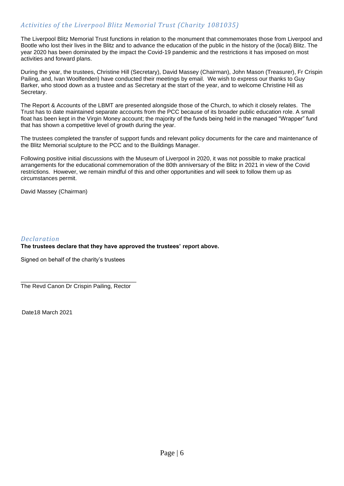The Liverpool Blitz Memorial Trust functions in relation to the monument that commemorates those from Liverpool and Bootle who lost their lives in the Blitz and to advance the education of the public in the history of the (local) Blitz. The year 2020 has been dominated by the impact the Covid-19 pandemic and the restrictions it has imposed on most activities and forward plans.

During the year, the trustees, Christine Hill (Secretary), David Massey (Chairman), John Mason (Treasurer), Fr Crispin Pailing, and, Ivan Woolfenden) have conducted their meetings by email. We wish to express our thanks to Guy Barker, who stood down as a trustee and as Secretary at the start of the year, and to welcome Christine Hill as Secretary.

The Report & Accounts of the LBMT are presented alongside those of the Church, to which it closely relates. The Trust has to date maintained separate accounts from the PCC because of its broader public education role. A small float has been kept in the Virgin Money account; the majority of the funds being held in the managed "Wrapper" fund that has shown a competitive level of growth during the year.

The trustees completed the transfer of support funds and relevant policy documents for the care and maintenance of the Blitz Memorial sculpture to the PCC and to the Buildings Manager.

Following positive initial discussions with the Museum of Liverpool in 2020, it was not possible to make practical arrangements for the educational commemoration of the 80th anniversary of the Blitz in 2021 in view of the Covid restrictions. However, we remain mindful of this and other opportunities and will seek to follow them up as circumstances permit.

David Massey (Chairman)

## *Declaration* **The trustees declare that they have approved the trustees' report above.**

Signed on behalf of the charity's trustees

\_\_\_\_\_\_\_\_\_\_\_\_\_\_\_\_\_\_\_\_\_\_\_\_\_\_\_\_\_\_\_\_\_\_\_\_ The Revd Canon Dr Crispin Pailing, Rector

Date18 March 2021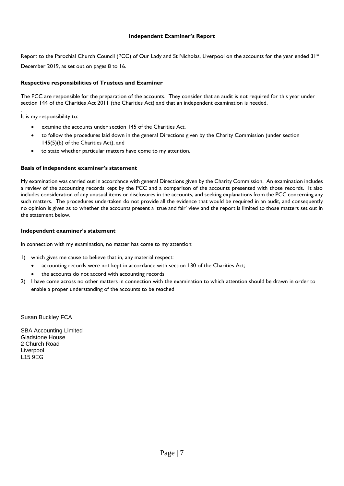#### **Independent Examiner's Report**

Report to the Parochial Church Council (PCC) of Our Lady and St Nicholas, Liverpool on the accounts for the year ended 31<sup>st</sup>

December 2019, as set out on pages 8 to 16.

## **Respective responsibilities of Trustees and Examiner**

The PCC are responsible for the preparation of the accounts. They consider that an audit is not required for this year under section 144 of the Charities Act 2011 (the Charities Act) and that an independent examination is needed.

. It is my responsibility to:

- examine the accounts under section 145 of the Charities Act,
- to follow the procedures laid down in the general Directions given by the Charity Commission (under section 145(5)(b) of the Charities Act), and
- to state whether particular matters have come to my attention.

## **Basis of independent examiner's statement**

My examination was carried out in accordance with general Directions given by the Charity Commission. An examination includes a review of the accounting records kept by the PCC and a comparison of the accounts presented with those records. It also includes consideration of any unusual items or disclosures in the accounts, and seeking explanations from the PCC concerning any such matters. The procedures undertaken do not provide all the evidence that would be required in an audit, and consequently no opinion is given as to whether the accounts present a 'true and fair' view and the report is limited to those matters set out in the statement below.

#### **Independent examiner's statement**

In connection with my examination, no matter has come to my attention:

- 1) which gives me cause to believe that in, any material respect:
	- accounting records were not kept in accordance with section 130 of the Charities Act;
	- the accounts do not accord with accounting records
- 2) I have come across no other matters in connection with the examination to which attention should be drawn in order to enable a proper understanding of the accounts to be reached

Susan Buckley FCA

SBA Accounting Limited Gladstone House 2 Church Road Liverpool L15 9EG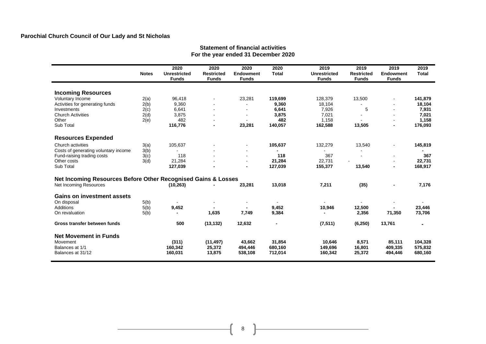# **Parochial Church Council of Our Lady and St Nicholas**

#### **Statement of financial activities For the year ended 31 December 2020**

|                                                               | <b>Notes</b> | 2020<br><b>Unrestricted</b><br><b>Funds</b> | 2020<br><b>Restricted</b><br><b>Funds</b> | 2020<br><b>Endowment</b><br><b>Funds</b> | 2020<br><b>Total</b> | 2019<br>Unrestricted<br><b>Funds</b> | 2019<br><b>Restricted</b><br><b>Funds</b> | 2019<br><b>Endowment</b><br><b>Funds</b> | 2019<br><b>Total</b> |
|---------------------------------------------------------------|--------------|---------------------------------------------|-------------------------------------------|------------------------------------------|----------------------|--------------------------------------|-------------------------------------------|------------------------------------------|----------------------|
|                                                               |              |                                             |                                           |                                          |                      |                                      |                                           |                                          |                      |
| <b>Incoming Resources</b>                                     |              |                                             |                                           |                                          |                      |                                      |                                           |                                          |                      |
| Voluntary Income                                              | 2(a)         | 96,418                                      | $\blacksquare$                            | 23,281                                   | 119,699              | 128,379                              | 13,500                                    |                                          | 141,879              |
| Activities for generating funds                               | 2(b)         | 9,360                                       | $\blacksquare$                            |                                          | 9,360                | 18,104                               |                                           |                                          | 18,104               |
| Investments                                                   | 2(c)         | 6,641                                       | $\overline{a}$                            |                                          | 6,641                | 7,926                                | 5                                         |                                          | 7,931                |
| <b>Church Activities</b>                                      | 2(d)         | 3,875                                       | $\sim$                                    |                                          | 3,875                | 7,021                                |                                           |                                          | 7,021                |
| Other                                                         | 2(e)         | 482                                         | $\blacksquare$                            |                                          | 482                  | 1,158                                |                                           |                                          | 1,158                |
| Sub Total                                                     |              | 116,776                                     | $\blacksquare$                            | 23,281                                   | 140,057              | 162,588                              | 13,505                                    |                                          | 176,093              |
| <b>Resources Expended</b>                                     |              |                                             |                                           |                                          |                      |                                      |                                           |                                          |                      |
| Church activities                                             | 3(a)         | 105,637                                     | $\blacksquare$                            | $\overline{\phantom{a}}$                 | 105,637              | 132,279                              | 13,540                                    | $\sim$                                   | 145,819              |
| Costs of generating voluntary income                          | 3(b)         |                                             |                                           |                                          |                      |                                      |                                           |                                          |                      |
| Fund-raising trading costs                                    | 3(c)         | 118                                         |                                           | $\sim$                                   | 118                  | 367                                  |                                           | $\,$                                     | 367                  |
| Other costs                                                   | 3(d)         | 21.284                                      |                                           | $\sim$                                   | 21,284               | 22.731                               |                                           |                                          | 22,731               |
| Sub Total                                                     |              | 127,039                                     |                                           | $\blacksquare$                           | 127,039              | 155,377                              | 13,540                                    | $\blacksquare$                           | 168,917              |
|                                                               |              |                                             |                                           |                                          |                      |                                      |                                           |                                          |                      |
| Net Incoming Resources Before Other Recognised Gains & Losses |              |                                             |                                           |                                          |                      |                                      |                                           |                                          |                      |
| Net Incoming Resources                                        |              | (10, 263)                                   |                                           | 23,281                                   | 13,018               | 7,211                                | (35)                                      |                                          | 7,176                |
| <b>Gains on investment assets</b>                             |              |                                             |                                           |                                          |                      |                                      |                                           |                                          |                      |
| On disposal                                                   | 5(b)         |                                             |                                           |                                          |                      |                                      |                                           |                                          |                      |
| Additions                                                     | 5(b)         | 9,452                                       |                                           |                                          | 9,452                | 10,946                               | 12,500                                    |                                          | 23,446               |
| On revaluation                                                | 5(b)         |                                             | 1,635                                     | 7,749                                    | 9,384                |                                      | 2,356                                     | 71,350                                   | 73,706               |
|                                                               |              |                                             |                                           |                                          |                      |                                      |                                           |                                          |                      |
| Gross transfer between funds                                  |              | 500                                         | (13, 132)                                 | 12,632                                   | $\blacksquare$       | (7, 511)                             | (6, 250)                                  | 13,761                                   |                      |
| <b>Net Movement in Funds</b>                                  |              |                                             |                                           |                                          |                      |                                      |                                           |                                          |                      |
| Movement                                                      |              | (311)                                       | (11, 497)                                 | 43,662                                   | 31,854               | 10,646                               | 8,571                                     | 85,111                                   | 104,328              |
| Balances at 1/1                                               |              | 160,342                                     | 25,372                                    | 494,446                                  | 680,160              | 149,696                              | 16,801                                    | 409,335                                  | 575,832              |
| Balances at 31/12                                             |              | 160,031                                     | 13,875                                    | 538,108                                  | 712,014              | 160,342                              | 25,372                                    | 494,446                                  | 680,160              |
|                                                               |              |                                             |                                           |                                          |                      |                                      |                                           |                                          |                      |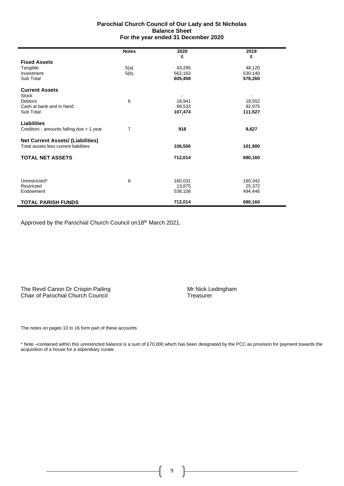#### **Parochial Church Council of Our Lady and St Nicholas Balance Sheet For the year ended 31 December 2020**

|                                          | <b>Notes</b>   | 2020    | 2019<br>£ |
|------------------------------------------|----------------|---------|-----------|
| <b>Fixed Assets</b>                      |                | £       |           |
| Tangible                                 | 5(a)           | 43,295  | 48,120    |
| Investment                               | 5(b)           | 562,163 | 530,140   |
| Sub Total                                |                | 605,458 | 578,260   |
| <b>Current Assets</b>                    |                |         |           |
| <b>Stock</b>                             |                |         |           |
| <b>Debtors</b>                           | 6              | 18,941  | 18,552    |
| Cash at bank and in hand                 |                | 88,533  | 92,975    |
| Sub Total                                |                | 107,474 | 111,527   |
| Liabilities                              |                |         |           |
| Creditors - amounts falling due < 1 year | $\overline{7}$ | 918     | 9,627     |
| <b>Net Current Assets/ (Liabilities)</b> |                |         |           |
| Total assets less current liabilities    |                | 106,556 | 101,900   |
| <b>TOTAL NET ASSETS</b>                  |                | 712,014 | 680,160   |
|                                          |                |         |           |
| Unrestricted*                            | 8              | 160,031 | 160,342   |
| Restricted                               |                | 13,875  | 25,372    |
| Endowment                                |                | 538,108 | 494,446   |
| <b>TOTAL PARISH FUNDS</b>                |                | 712,014 | 680,160   |

Approved by the Parochial Church Council on 18th March 2021.

The Revd Canon Dr Crispin Pailing<br>
Chair of Parochial Church Council<br>
Chair of Parochial Church Council Chair of Parochial Church Council

Î.

The notes on pages 10 to 16 form part of these accounts

\* Note –contained within this unrestricted balance is a sum of £70,000 which has been designated by the PCC as provision for payment towards the acquisition of a house for a stipendiary curate.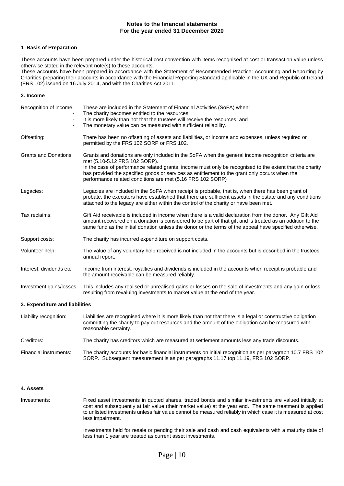#### **Notes to the financial statements For the year ended 31 December 2020**

#### **1 Basis of Preparation**

These accounts have been prepared under the historical cost convention with items recognised at cost or transaction value unless otherwise stated in the relevant note(s) to these accounts.

These accounts have been prepared in accordance with the Statement of Recommended Practice: Accounting and Reporting by Charities preparing their accounts in accordance with the Financial Reporting Standard applicable in the UK and Republic of Ireland (FRS 102) issued on 16 July 2014, and with the Charities Act 2011.

#### **2. Income**

| Recognition of income:<br>$\overline{\phantom{m}}$ | These are included in the Statement of Financial Activities (SoFA) when:<br>The charity becomes entitled to the resources;<br>It is more likely than not that the trustees will receive the resources; and<br>The monetary value can be measured with sufficient reliability.                                                                                                                                   |
|----------------------------------------------------|-----------------------------------------------------------------------------------------------------------------------------------------------------------------------------------------------------------------------------------------------------------------------------------------------------------------------------------------------------------------------------------------------------------------|
| Offsetting:                                        | There has been no offsetting of assets and liabilities, or income and expenses, unless required or<br>permitted by the FRS 102 SORP or FRS 102.                                                                                                                                                                                                                                                                 |
| <b>Grants and Donations:</b>                       | Grants and donations are only included in the SoFA when the general income recognition criteria are<br>met (5.10-5.12 FRS 102 SORP).<br>In the case of performance related grants, income must only be recognised to the extent that the charity<br>has provided the specified goods or services as entitlement to the grant only occurs when the<br>performance related conditions are met (5.16 FRS 102 SORP) |
| Legacies:                                          | Legacies are included in the SoFA when receipt is probable, that is, when there has been grant of<br>probate, the executors have established that there are sufficient assets in the estate and any conditions<br>attached to the legacy are either within the control of the charity or have been met.                                                                                                         |
| Tax reclaims:                                      | Gift Aid receivable is included in income when there is a valid declaration from the donor. Any Gift Aid<br>amount recovered on a donation is considered to be part of that gift and is treated as an addition to the<br>same fund as the initial donation unless the donor or the terms of the appeal have specified otherwise.                                                                                |
| Support costs:                                     | The charity has incurred expenditure on support costs.                                                                                                                                                                                                                                                                                                                                                          |
| Volunteer help:                                    | The value of any voluntary help received is not included in the accounts but is described in the trustees'<br>annual report.                                                                                                                                                                                                                                                                                    |
| Interest, dividends etc.                           | Income from interest, royalties and dividends is included in the accounts when receipt is probable and<br>the amount receivable can be measured reliably.                                                                                                                                                                                                                                                       |
| Investment gains/losses                            | This includes any realised or unrealised gains or losses on the sale of investments and any gain or loss<br>resulting from revaluing investments to market value at the end of the year.                                                                                                                                                                                                                        |
| 3. Expenditure and liabilities                     |                                                                                                                                                                                                                                                                                                                                                                                                                 |
| Liability recognition:                             | Liabilities are recognised where it is more likely than not that there is a legal or constructive obligation<br>committing the charity to pay out resources and the amount of the obligation can be measured with<br>reasonable certainty.                                                                                                                                                                      |
| Creditors:                                         | The charity has creditors which are measured at settlement amounts less any trade discounts.                                                                                                                                                                                                                                                                                                                    |
|                                                    |                                                                                                                                                                                                                                                                                                                                                                                                                 |

Financial instruments: The charity accounts for basic financial instruments on initial recognition as per paragraph 10.7 FRS 102 SORP. Subsequent measurement is as per paragraphs 11.17 top 11.19, FRS 102 SORP.

#### **4. Assets**

Investments: Fixed asset investments in quoted shares, traded bonds and similar investments are valued initially at cost and subsequently at fair value (their market value) at the year end. The same treatment is applied to unlisted investments unless fair value cannot be measured reliably in which case it is measured at cost less impairment.

> Investments held for resale or pending their sale and cash and cash equivalents with a maturity date of less than 1 year are treated as current asset investments.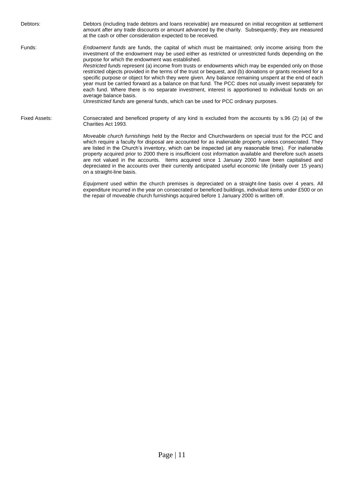Debtors: Debtors (including trade debtors and loans receivable) are measured on initial recognition at settlement amount after any trade discounts or amount advanced by the charity. Subsequently, they are measured at the cash or other consideration expected to be received. Funds: *Endowment funds* are funds, the capital of which must be maintained; only income arising from the investment of the endowment may be used either as restricted or unrestricted funds depending on the purpose for which the endowment was established. *Restricted funds* represent (a) income from trusts or endowments which may be expended only on those restricted objects provided in the terms of the trust or bequest, and (b) donations or grants received for a specific purpose or object for which they were given. Any balance remaining unspent at the end of each year must be carried forward as a balance on that fund. The PCC does not usually invest separately for each fund. Where there is no separate investment, interest is apportioned to individual funds on an average balance basis. *Unrestricted funds* are general funds, which can be used for PCC ordinary purposes. Fixed Assets: Consecrated and beneficed property of any kind is excluded from the accounts by s.96 (2) (a) of the Charities Act 1993. *Moveable church furnishings* held by the Rector and Churchwardens on special trust for the PCC and which require a faculty for disposal are accounted for as inalienable property unless consecrated. They are listed in the Church's inventory, which can be inspected (at any reasonable time). For inalienable property acquired prior to 2000 there is insufficient cost information available and therefore such assets are not valued in the accounts. Items acquired since 1 January 2000 have been capitalised and depreciated in the accounts over their currently anticipated useful economic life (initially over 15 years) on a straight-line basis.

> *Equipment* used within the church premises is depreciated on a straight-line basis over 4 years. All expenditure incurred in the year on consecrated or beneficed buildings, individual items under £500 or on the repair of moveable church furnishings acquired before 1 January 2000 is written off.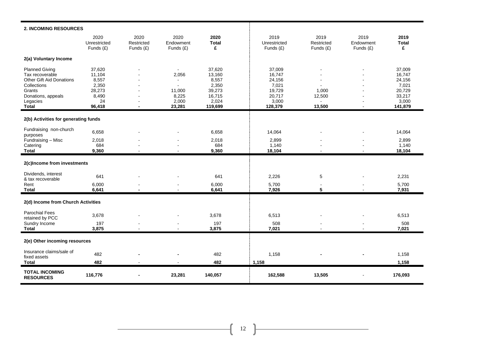| 2. INCOMING RESOURCES                     |                                     |                                   |                                  |                           |                                     |                                 |                                |                           |
|-------------------------------------------|-------------------------------------|-----------------------------------|----------------------------------|---------------------------|-------------------------------------|---------------------------------|--------------------------------|---------------------------|
|                                           | 2020<br>Unrestricted<br>Funds $(E)$ | 2020<br>Restricted<br>Funds $(E)$ | 2020<br>Endowment<br>Funds $(E)$ | 2020<br><b>Total</b><br>£ | 2019<br>Unrestricted<br>Funds $(E)$ | 2019<br>Restricted<br>Funds (£) | 2019<br>Endowment<br>Funds (£) | 2019<br><b>Total</b><br>£ |
| 2(a) Voluntary Income                     |                                     |                                   |                                  |                           |                                     |                                 |                                |                           |
| <b>Planned Giving</b>                     | 37,620                              |                                   | $\sim$                           | 37,620                    | 37,009                              |                                 |                                | 37,009                    |
| Tax recoverable                           | 11,104                              |                                   | 2,056                            | 13,160                    | 16,747                              |                                 |                                | 16,747                    |
| <b>Other Gift Aid Donations</b>           | 8,557                               |                                   | $\blacksquare$                   | 8,557                     | 24,156                              |                                 |                                | 24,156                    |
| Collections                               | 2,350                               | $\blacksquare$                    | $\blacksquare$                   | 2,350                     | 7,021                               |                                 |                                | 7,021                     |
| Grants                                    | 28,273                              |                                   | 11,000                           | 39,273                    | 19,729                              | 1,000                           |                                | 20,729                    |
| Donations, appeals                        | 8,490                               | ٠                                 | 8,225                            | 16,715                    | 20,717                              | 12,500                          |                                | 33,217                    |
| Legacies                                  | 24                                  |                                   | 2,000                            | 2,024                     | 3,000                               |                                 |                                | 3,000                     |
| <b>Total</b>                              | 96,418                              |                                   | 23,281                           | 119,699                   | 128,379                             | 13,500                          |                                | 141,879                   |
| 2(b) Activities for generating funds      |                                     |                                   |                                  |                           |                                     |                                 |                                |                           |
| Fundraising non-church                    |                                     |                                   |                                  |                           |                                     |                                 |                                |                           |
| purposes                                  | 6,658                               |                                   |                                  | 6,658                     | 14,064                              |                                 |                                | 14,064                    |
| Fundraising - Misc                        | 2,018                               |                                   |                                  | 2,018                     | 2,899                               |                                 |                                | 2,899                     |
| Catering                                  | 684                                 |                                   |                                  | 684                       | 1,140                               |                                 |                                | 1,140                     |
| <b>Total</b>                              | 9,360                               |                                   |                                  | 9,360                     | 18,104                              |                                 |                                | 18,104                    |
| 2(c)Income from investments               |                                     |                                   |                                  |                           |                                     |                                 |                                |                           |
| Dividends, interest                       |                                     |                                   |                                  |                           |                                     |                                 |                                |                           |
| & tax recoverable                         | 641                                 |                                   |                                  | 641                       | 2,226                               | 5                               |                                | 2,231                     |
| Rent                                      | 6,000                               |                                   |                                  | 6,000                     | 5,700                               | $\sim$                          |                                | 5,700                     |
| <b>Total</b>                              | 6,641                               |                                   |                                  | 6,641                     | 7,926                               | 5                               |                                | 7,931                     |
| 2(d) Income from Church Activities        |                                     |                                   |                                  |                           |                                     |                                 |                                |                           |
| Parochial Fees                            | 3,678                               |                                   |                                  | 3,678                     | 6,513                               |                                 |                                | 6,513                     |
| retained by PCC                           |                                     |                                   |                                  |                           |                                     |                                 |                                |                           |
| Sundry Income                             | 197                                 |                                   |                                  | 197                       | 508                                 |                                 |                                | 508                       |
| <b>Total</b>                              | 3,875                               |                                   |                                  | 3,875                     | 7,021                               |                                 |                                | 7,021                     |
| 2(e) Other incoming resources             |                                     |                                   |                                  |                           |                                     |                                 |                                |                           |
| Insurance claims/sale of                  | 482                                 |                                   |                                  | 482                       | 1,158                               |                                 |                                | 1,158                     |
| fixed assets                              |                                     |                                   |                                  |                           |                                     |                                 |                                |                           |
| <b>Total</b>                              | 482                                 |                                   |                                  | 482                       | 1,158                               |                                 |                                | 1,158                     |
| <b>TOTAL INCOMING</b><br><b>RESOURCES</b> | 116,776                             |                                   | 23,281                           | 140,057                   | 162,588                             | 13,505                          |                                | 176,093                   |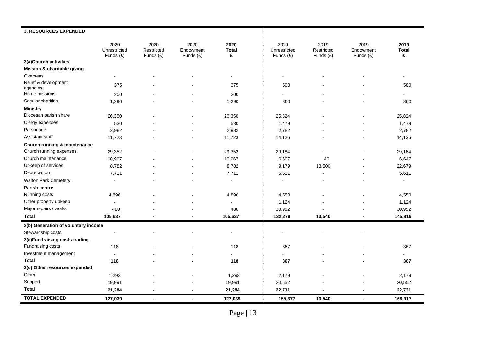| 3. RESOURCES EXPENDED               |                                   |                                   |                                  |                           |                                   |                                 |                                |                           |
|-------------------------------------|-----------------------------------|-----------------------------------|----------------------------------|---------------------------|-----------------------------------|---------------------------------|--------------------------------|---------------------------|
|                                     | 2020<br>Unrestricted<br>Funds (£) | 2020<br>Restricted<br>Funds $(E)$ | 2020<br>Endowment<br>Funds $(E)$ | 2020<br><b>Total</b><br>£ | 2019<br>Unrestricted<br>Funds (£) | 2019<br>Restricted<br>Funds (£) | 2019<br>Endowment<br>Funds (£) | 2019<br><b>Total</b><br>£ |
| 3(a)Church activities               |                                   |                                   |                                  |                           |                                   |                                 |                                |                           |
| Mission & charitable giving         |                                   |                                   |                                  |                           |                                   |                                 |                                |                           |
| Overseas                            |                                   |                                   |                                  | $\sim$                    |                                   |                                 |                                |                           |
| Relief & development                | 375                               |                                   |                                  | 375                       | 500                               |                                 |                                | 500                       |
| agencies                            |                                   |                                   |                                  |                           |                                   |                                 |                                |                           |
| Home missions                       | 200                               |                                   |                                  | 200                       |                                   |                                 |                                | $\sim$                    |
| Secular charities                   | 1,290                             |                                   |                                  | 1,290                     | 360                               |                                 |                                | 360                       |
| <b>Ministry</b>                     |                                   |                                   |                                  |                           |                                   |                                 |                                |                           |
| Diocesan parish share               | 26,350                            |                                   |                                  | 26,350                    | 25,824                            |                                 | $\blacksquare$                 | 25,824                    |
| Clergy expenses                     | 530                               |                                   |                                  | 530                       | 1,479                             |                                 | $\blacksquare$                 | 1,479                     |
| Parsonage                           | 2,982                             |                                   |                                  | 2,982                     | 2,782                             |                                 | $\blacksquare$                 | 2,782                     |
| Assistant staff                     | 11,723                            |                                   |                                  | 11,723                    | 14,126                            |                                 |                                | 14,126                    |
| Church running & maintenance        |                                   |                                   |                                  |                           |                                   |                                 |                                |                           |
| Church running expenses             | 29,352                            |                                   |                                  | 29,352                    | 29,184                            |                                 |                                | 29,184                    |
| Church maintenance                  | 10,967                            |                                   |                                  | 10,967                    | 6,607                             | 40                              |                                | 6,647                     |
| Upkeep of services                  | 8,782                             |                                   |                                  | 8,782                     | 9,179                             | 13,500                          |                                | 22,679                    |
| Depreciation                        | 7,711                             |                                   |                                  | 7,711                     | 5,611                             |                                 | ٠                              | 5,611                     |
| <b>Walton Park Cemetery</b>         | $\sim$                            |                                   |                                  | $\sim$                    | $\blacksquare$                    |                                 |                                | $\sim$                    |
| <b>Parish centre</b>                |                                   |                                   |                                  |                           |                                   |                                 |                                |                           |
| Running costs                       | 4,896                             |                                   |                                  | 4,896                     | 4,550                             |                                 |                                | 4,550                     |
| Other property upkeep               | $\sim$                            |                                   |                                  | $\sim$                    | 1,124                             |                                 | $\overline{a}$                 | 1,124                     |
| Major repairs / works               | 480                               |                                   |                                  | 480                       | 30,952                            |                                 |                                | 30,952                    |
| <b>Total</b>                        | 105,637                           | $\blacksquare$                    |                                  | 105,637                   | 132,279                           | 13,540                          | $\blacksquare$                 | 145,819                   |
| 3(b) Generation of voluntary income |                                   |                                   |                                  |                           |                                   |                                 |                                |                           |
| Stewardship costs                   |                                   |                                   |                                  |                           |                                   |                                 |                                |                           |
| 3(c)Fundraising costs trading       |                                   |                                   |                                  |                           |                                   |                                 |                                |                           |
| Fundraising costs                   | 118                               |                                   |                                  | 118                       | 367                               |                                 |                                | 367                       |
| Investment management               | $\blacksquare$                    |                                   |                                  |                           |                                   |                                 |                                |                           |
| <b>Total</b>                        | 118                               |                                   |                                  | 118                       | 367                               |                                 |                                | 367                       |
| 3(d) Other resources expended       |                                   |                                   |                                  |                           |                                   |                                 |                                |                           |
| Other                               | 1,293                             |                                   |                                  | 1,293                     | 2,179                             |                                 |                                | 2,179                     |
| Support                             | 19,991                            |                                   |                                  | 19,991                    | 20,552                            |                                 |                                | 20,552                    |
| <b>Total</b>                        | 21,284                            | $\blacksquare$                    |                                  | 21,284                    | 22,731                            |                                 | $\overline{a}$                 | 22,731                    |
| <b>TOTAL EXPENDED</b>               | 127,039                           | $\blacksquare$                    | $\blacksquare$                   | 127,039                   | 155,377                           | 13,540                          | $\overline{a}$                 | 168,917                   |

Page | 13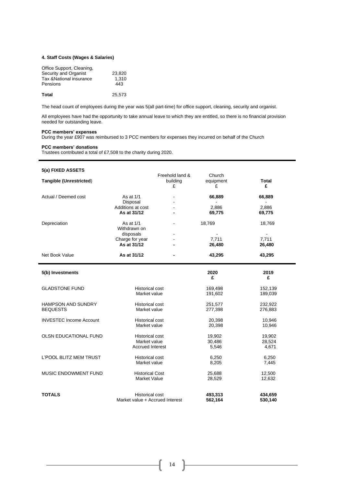#### **4. Staff Costs (Wages & Salaries)**

| Office Support, Cleaning, |        |
|---------------------------|--------|
| Security and Organist     | 23.820 |
| Tax & National insurance  | 1.310  |
| Pensions                  | 443    |
| Total                     | 25.573 |

The head count of employees during the year was 5(all part-time) for office support, cleaning, security and organist.

All employees have had the opportunity to take annual leave to which they are entitled, so there is no financial provision needed for outstanding leave.

#### **PCC members' expenses**

During the year £907 was reimbursed to 3 PCC members for expenses they incurred on behalf of the Church

#### **PCC members' donations**

j.

Trustees contributed a total of £7,508 to the charity during 2020.

| 5(a) FIXED ASSETS              |                                        | Freehold land & | Church             |                    |
|--------------------------------|----------------------------------------|-----------------|--------------------|--------------------|
| <b>Tangible (Unrestricted)</b> |                                        | building<br>£   | equipment<br>£     | <b>Total</b><br>£  |
| Actual / Deemed cost           | As at 1/1                              |                 | 66,889             | 66,889             |
|                                | Disposal<br>Additions at cost          |                 | 2.886              | 2,886              |
|                                | As at 31/12                            |                 | 69,775             | 69,775             |
| Depreciation                   | As at 1/1<br>Withdrawn on              |                 | 18,769             | 18,769             |
|                                | disposals                              |                 | $\overline{a}$     |                    |
|                                | Charge for year<br>As at 31/12         |                 | 7,711<br>26,480    | 7,711<br>26,480    |
| Net Book Value                 | As at 31/12                            |                 | 43,295             | 43,295             |
| 5(b) Investments               |                                        |                 | 2020<br>£          | 2019<br>£          |
| <b>GLADSTONE FUND</b>          | <b>Historical cost</b><br>Market value |                 | 169,498<br>191,602 | 152,139<br>189,039 |
| <b>HAMPSON AND SUNDRY</b>      | <b>Historical cost</b>                 |                 | 251,577            | 232,922            |
| <b>BEQUESTS</b>                | Market value                           |                 | 277,398            | 276,883            |
| <b>INVESTEC Income Account</b> | <b>Historical cost</b>                 |                 | 20,398             | 10,946             |
|                                | Market value                           |                 | 20,398             | 10,946             |
| OLSN EDUCATIONAL FUND          | <b>Historical cost</b>                 |                 | 19,902             | 19,902             |
|                                | Market value                           |                 | 30,486             | 28,524             |
|                                | <b>Accrued Interest</b>                |                 | 5,546              | 4,671              |
| L'POOL BLITZ MEM TRUST         | <b>Historical cost</b>                 |                 | 6,250              | 6,250              |
|                                | Market value                           |                 | 8,205              | 7,445              |
| MUSIC ENDOWMENT FUND           | <b>Historical Cost</b>                 |                 | 25,688             | 12,500             |
|                                | <b>Market Value</b>                    |                 | 28,529             | 12,632             |
| <b>TOTALS</b>                  | <b>Historical cost</b>                 |                 | 493,313            | 434,659            |
|                                | Market value + Accrued Interest        |                 | 562,164            | 530,140            |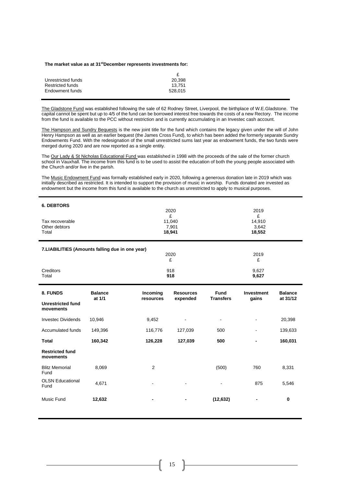#### **The market value as at 31stDecember represents investments for:**

| 20.398  |
|---------|
| 13.751  |
| 528.015 |
|         |

The Gladstone Fund was established following the sale of 62 Rodney Street, Liverpool, the birthplace of W.E.Gladstone. The capital cannot be spent but up to 4/5 of the fund can be borrowed interest free towards the costs of a new Rectory. The income from the fund is available to the PCC without restriction and is currently accumulating in an Investec cash account.

The Hampson and Sundry Bequests is the new joint title for the fund which contains the legacy given under the will of John Henry Hampson as well as an earlier bequest (the James Cross Fund), to which has been added the formerly separate Sundry Endowments Fund. With the redesignation of the small unrestricted sums last year as endowment funds, the two funds were merged during 2020 and are now reported as a single entity.

The Our Lady & St Nicholas Educational Fund was established in 1998 with the proceeds of the sale of the former church school in Vauxhall. The income from this fund is to be used to assist the education of both the young people associated with the Church and/or live in the parish.

The Music Endowment Fund was formally established early in 2020, following a generous donation late in 2019 which was initially described as restricted. It is intended to support the provision of music in worship. Funds donated are invested as endowment but the income from this fund is available to the church as unrestricted to apply to musical purposes.

| <b>6. DEBTORS</b><br>Tax recoverable<br>Other debtors<br>Total |                                                 |                       | 2019<br>£<br>14,910<br>3,642<br>18,552 |                          |                            |                            |  |
|----------------------------------------------------------------|-------------------------------------------------|-----------------------|----------------------------------------|--------------------------|----------------------------|----------------------------|--|
|                                                                | 7.LIABILITIES (Amounts falling due in one year) |                       | 2020<br>£                              |                          | 2019<br>£                  |                            |  |
| Creditors<br>Total                                             |                                                 |                       | 918<br>918                             |                          | 9,627<br>9,627             |                            |  |
| 8. FUNDS                                                       | <b>Balance</b><br>at 1/1                        | Incoming<br>resources | <b>Resources</b><br>expended           | Fund<br><b>Transfers</b> | <b>Investment</b><br>gains | <b>Balance</b><br>at 31/12 |  |
| <b>Unrestricted fund</b><br>movements                          |                                                 |                       |                                        |                          |                            |                            |  |
| <b>Investec Dividends</b>                                      | 10,946                                          | 9,452                 |                                        | $\blacksquare$           | $\sim$                     | 20,398                     |  |
| Accumulated funds                                              | 149,396                                         | 116,776               | 127,039                                | 500                      |                            | 139,633                    |  |
| <b>Total</b>                                                   | 160,342                                         | 126,228               | 127,039                                | 500                      |                            | 160,031                    |  |
| <b>Restricted fund</b><br>movements                            |                                                 |                       |                                        |                          |                            |                            |  |
| <b>Blitz Memorial</b><br>Fund                                  | 8,069                                           | 2                     |                                        | (500)                    | 760                        | 8,331                      |  |
| <b>OLSN Educational</b><br>Fund                                | 4,671                                           |                       |                                        |                          | 875                        | 5,546                      |  |
| Music Fund                                                     | 12,632                                          |                       |                                        | (12, 632)                |                            | $\bf{0}$                   |  |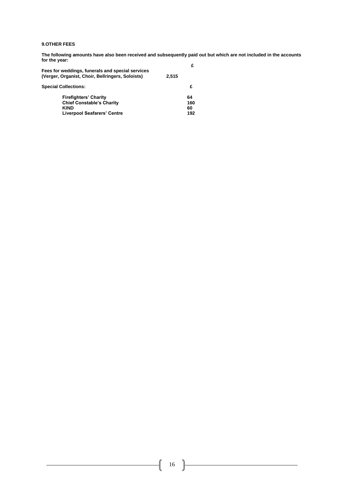#### **9.OTHER FEES**

**The following amounts have also been received and subsequently paid out but which are not included in the accounts for the year: £**

| Fees for weddings, funerals and special services<br>(Verger, Organist, Choir, Bellringers, Soloists) | 2.515 |     |
|------------------------------------------------------------------------------------------------------|-------|-----|
| <b>Special Collections:</b>                                                                          |       | £   |
| <b>Firefighters' Charity</b>                                                                         |       | 64  |
| <b>Chief Constable's Charity</b>                                                                     |       | 160 |
| <b>KIND</b>                                                                                          |       | 60  |
| <b>Liverpool Seafarers' Centre</b>                                                                   |       | 192 |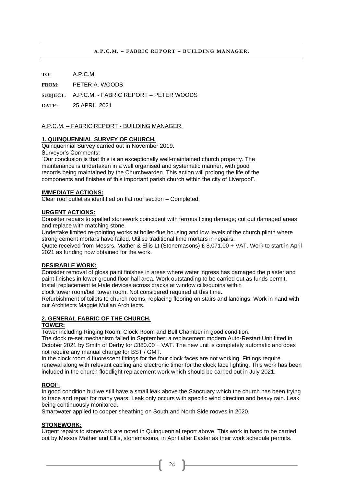#### **A.P.C.M. – FABRIC REPORT – BUILDING MANAGER.**

**TO:** A.P.C.M.

**FROM:** PETER A. WOODS

**SUBJECT:** A.P.C.M. - FABRIC REPORT – PETER WOODS

**DATE:** 25 APRIL 2021

#### A.P.C.M. – FABRIC REPORT - BUILDING MANAGER.

#### **1. QUINQUENNIAL SURVEY OF CHURCH.**

Quinquennial Survey carried out in November 2019.

Surveyor's Comments:

"Our conclusion is that this is an exceptionally well-maintained church property. The maintenance is undertaken in a well organised and systematic manner, with good records being maintained by the Churchwarden. This action will prolong the life of the components and finishes of this important parish church within the city of Liverpool".

#### **IMMEDIATE ACTIONS:**

Clear roof outlet as identified on flat roof section – Completed.

#### **URGENT ACTIONS:**

Consider repairs to spalled stonework coincident with ferrous fixing damage; cut out damaged areas and replace with matching stone.

Undertake limited re-pointing works at boiler-flue housing and low levels of the church plinth where strong cement mortars have failed. Utilise traditional lime mortars in repairs.

Quote received from Messrs. Mather & Ellis Lt (Stonemasons) £ 8.071.00 + VAT. Work to start in April 2021 as funding now obtained for the work.

#### **DESIRABLE WORK:**

Consider removal of gloss paint finishes in areas where water ingress has damaged the plaster and paint finishes in lower ground floor hall area. Work outstanding to be carried out as funds permit. Install replacement tell-tale devices across cracks at window cills/quoins within clock tower room/bell tower room. Not considered required at this time.

Refurbishment of toilets to church rooms, replacing flooring on stairs and landings. Work in hand with our Architects Maggie Mullan Architects.

#### **2. GENERAL FABRIC OF THE CHURCH.**

#### **TOWER:**

Tower including Ringing Room, Clock Room and Bell Chamber in good condition.

The clock re-set mechanism failed in September; a replacement modern Auto-Restart Unit fitted in October 2021 by Smith of Derby for £880.00 + VAT. The new unit is completely automatic and does not require any manual change for BST / GMT.

In the clock room 4 fluorescent fittings for the four clock faces are not working. Fittings require renewal along with relevant cabling and electronic timer for the clock face lighting. This work has been included in the church floodlight replacement work which should be carried out in July 2021.

#### **ROO**F:

In good condition but we still have a small leak above the Sanctuary which the church has been trying to trace and repair for many years. Leak only occurs with specific wind direction and heavy rain. Leak being continuously monitored.

Smartwater applied to copper sheathing on South and North Side rooves in 2020.

#### **STONEWORK:**

Urgent repairs to stonework are noted in Quinquennial report above. This work in hand to be carried out by Messrs Mather and Ellis, stonemasons, in April after Easter as their work schedule permits.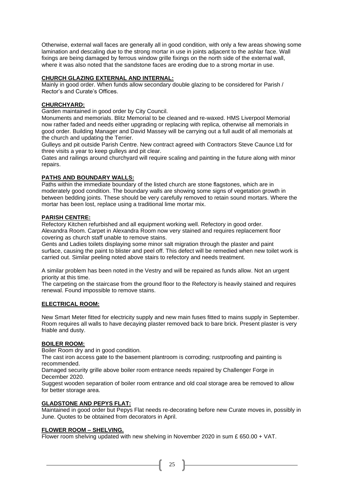Otherwise, external wall faces are generally all in good condition, with only a few areas showing some lamination and descaling due to the strong mortar in use in joints adjacent to the ashlar face. Wall fixings are being damaged by ferrous window grille fixings on the north side of the external wall, where it was also noted that the sandstone faces are eroding due to a strong mortar in use.

#### **CHURCH GLAZING EXTERNAL AND INTERNAL:**

Mainly in good order. When funds allow secondary double glazing to be considered for Parish / Rector's and Curate's Offices.

#### **CHURCHYARD:**

Garden maintained in good order by City Council.

Monuments and memorials. Blitz Memorial to be cleaned and re-waxed. HMS Liverpool Memorial now rather faded and needs either upgrading or replacing with replica, otherwise all memorials in good order. Building Manager and David Massey will be carrying out a full audit of all memorials at the church and updating the Terrier.

Gulleys and pit outside Parish Centre. New contract agreed with Contractors Steve Caunce Ltd for three visits a year to keep gulleys and pit clear.

Gates and railings around churchyard will require scaling and painting in the future along with minor repairs.

#### **PATHS AND BOUNDARY WALLS:**

Paths within the immediate boundary of the listed church are stone flagstones, which are in moderately good condition. The boundary walls are showing some signs of vegetation growth in between bedding joints. These should be very carefully removed to retain sound mortars. Where the mortar has been lost, replace using a traditional lime mortar mix.

#### **PARISH CENTRE:**

Refectory Kitchen refurbished and all equipment working well. Refectory in good order. Alexandra Room. Carpet in Alexandra Room now very stained and requires replacement floor covering as church staff unable to remove stains.

Gents and Ladies toilets displaying some minor salt migration through the plaster and paint surface, causing the paint to blister and peel off. This defect will be remedied when new toilet work is carried out. Similar peeling noted above stairs to refectory and needs treatment.

A similar problem has been noted in the Vestry and will be repaired as funds allow. Not an urgent priority at this time.

The carpeting on the staircase from the ground floor to the Refectory is heavily stained and requires renewal. Found impossible to remove stains.

#### **ELECTRICAL ROOM:**

New Smart Meter fitted for electricity supply and new main fuses fitted to mains supply in September. Room requires all walls to have decaying plaster removed back to bare brick. Present plaster is very friable and dusty.

#### **BOILER ROOM:**

Boiler Room dry and in good condition.

The cast iron access gate to the basement plantroom is corroding; rustproofing and painting is recommended.

Damaged security grille above boiler room entrance needs repaired by Challenger Forge in December 2020.

Suggest wooden separation of boiler room entrance and old coal storage area be removed to allow for better storage area.

#### **GLADSTONE AND PEPYS FLAT:**

Maintained in good order but Pepys Flat needs re-decorating before new Curate moves in, possibly in June. Quotes to be obtained from decorators in April.

#### **FLOWER ROOM – SHELVING.**

Flower room shelving updated with new shelving in November 2020 in sum £ 650.00 + VAT.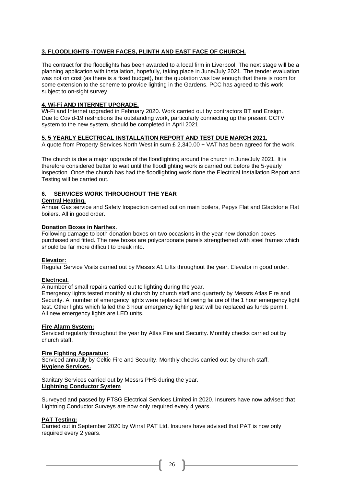## **3. FLOODLIGHTS -TOWER FACES, PLINTH AND EAST FACE OF CHURCH.**

The contract for the floodlights has been awarded to a local firm in Liverpool. The next stage will be a planning application with installation, hopefully, taking place in June/July 2021. The tender evaluation was not on cost (as there is a fixed budget), but the quotation was low enough that there is room for some extension to the scheme to provide lighting in the Gardens. PCC has agreed to this work subject to on-sight survey.

#### **4. Wi-Fi AND INTERNET UPGRADE.**

Wi-Fi and Internet upgraded in February 2020. Work carried out by contractors BT and Ensign. Due to Covid-19 restrictions the outstanding work, particularly connecting up the present CCTV system to the new system, should be completed in April 2021.

#### **5. 5 YEARLY ELECTRICAL INSTALLATION REPORT AND TEST DUE MARCH 2021.**

A quote from Property Services North West in sum £ 2,340.00 + VAT has been agreed for the work.

The church is due a major upgrade of the floodlighting around the church in June/July 2021. It is therefore considered better to wait until the floodlighting work is carried out before the 5-yearly inspection. Once the church has had the floodlighting work done the Electrical Installation Report and Testing will be carried out.

# **6. SERVICES WORK THROUGHOUT THE YEAR**

#### **Central Heating.**

Annual Gas service and Safety Inspection carried out on main boilers, Pepys Flat and Gladstone Flat boilers. All in good order.

#### **Donation Boxes in Narthex.**

Following damage to both donation boxes on two occasions in the year new donation boxes purchased and fitted. The new boxes are polycarbonate panels strengthened with steel frames which should be far more difficult to break into.

#### **Elevator:**

Regular Service Visits carried out by Messrs A1 Lifts throughout the year. Elevator in good order.

#### **Electrical.**

A number of small repairs carried out to lighting during the year.

Emergency lights tested monthly at church by church staff and quarterly by Messrs Atlas Fire and Security. A number of emergency lights were replaced following failure of the 1 hour emergency light test. Other lights which failed the 3 hour emergency lighting test will be replaced as funds permit. All new emergency lights are LED units.

#### **Fire Alarm System:**

Serviced regularly throughout the year by Atlas Fire and Security. Monthly checks carried out by church staff.

#### **Fire Fighting Apparatus:**

Serviced annually by Celtic Fire and Security. Monthly checks carried out by church staff. **Hygiene Services.**

Sanitary Services carried out by Messrs PHS during the year. **Lightning Conductor System**

Surveyed and passed by PTSG Electrical Services Limited in 2020. Insurers have now advised that Lightning Conductor Surveys are now only required every 4 years.

#### **PAT Testing:**

Carried out in September 2020 by Wirral PAT Ltd. Insurers have advised that PAT is now only required every 2 years.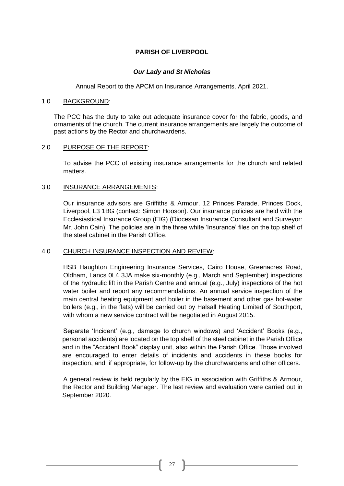# **PARISH OF LIVERPOOL**

# *Our Lady and St Nicholas*

Annual Report to the APCM on Insurance Arrangements, April 2021.

## 1.0 BACKGROUND:

The PCC has the duty to take out adequate insurance cover for the fabric, goods, and ornaments of the church. The current insurance arrangements are largely the outcome of past actions by the Rector and churchwardens.

# 2.0 PURPOSE OF THE REPORT:

To advise the PCC of existing insurance arrangements for the church and related matters.

# 3.0 INSURANCE ARRANGEMENTS:

Our insurance advisors are Griffiths & Armour, 12 Princes Parade, Princes Dock, Liverpool, L3 1BG (contact: Simon Hooson). Our insurance policies are held with the Ecclesiastical Insurance Group (EIG) (Diocesan Insurance Consultant and Surveyor: Mr. John Cain). The policies are in the three white 'Insurance' files on the top shelf of the steel cabinet in the Parish Office.

# 4.0 CHURCH INSURANCE INSPECTION AND REVIEW:

HSB Haughton Engineering Insurance Services, Cairo House, Greenacres Road, Oldham, Lancs 0L4 3JA make six-monthly (e.g., March and September) inspections of the hydraulic lift in the Parish Centre and annual (e.g., July) inspections of the hot water boiler and report any recommendations. An annual service inspection of the main central heating equipment and boiler in the basement and other gas hot-water boilers (e.g., in the flats) will be carried out by Halsall Heating Limited of Southport, with whom a new service contract will be negotiated in August 2015.

Separate 'Incident' (e.g., damage to church windows) and 'Accident' Books (e.g., personal accidents) are located on the top shelf of the steel cabinet in the Parish Office and in the "Accident Book" display unit, also within the Parish Office. Those involved are encouraged to enter details of incidents and accidents in these books for inspection, and, if appropriate, for follow-up by the churchwardens and other officers.

A general review is held regularly by the EIG in association with Griffiths & Armour, the Rector and Building Manager. The last review and evaluation were carried out in September 2020.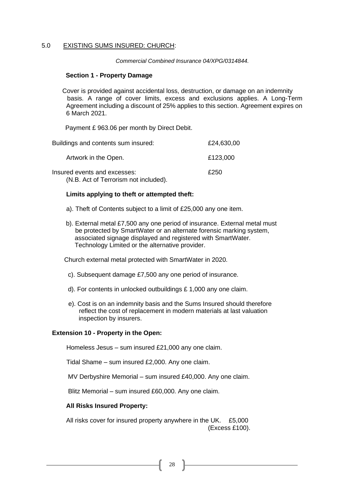## 5.0 EXISTING SUMS INSURED: CHURCH:

*Commercial Combined Insurance 04/XPG/0314844.*

#### **Section 1 - Property Damage**

Cover is provided against accidental loss, destruction, or damage on an indemnity basis. A range of cover limits, excess and exclusions applies. A Long-Term Agreement including a discount of 25% applies to this section. Agreement expires on 6 March 2021.

Payment £ 963.06 per month by Direct Debit.

| Buildings and contents sum insured:                                   | £24,630,00 |
|-----------------------------------------------------------------------|------------|
| Artwork in the Open.                                                  | £123,000   |
| Insured events and excesses:<br>(N.B. Act of Terrorism not included). | £250       |

# **Limits applying to theft or attempted theft:**

- a). Theft of Contents subject to a limit of £25,000 any one item.
- b). External metal £7,500 any one period of insurance. External metal must be protected by SmartWater or an alternate forensic marking system, associated signage displayed and registered with SmartWater. Technology Limited or the alternative provider.

Church external metal protected with SmartWater in 2020.

- c). Subsequent damage £7,500 any one period of insurance.
- d). For contents in unlocked outbuildings £ 1,000 any one claim.
- e). Cost is on an indemnity basis and the Sums Insured should therefore reflect the cost of replacement in modern materials at last valuation inspection by insurers.

# **Extension 10 - Property in the Open:**

Homeless Jesus – sum insured £21,000 any one claim.

Tidal Shame – sum insured £2,000. Any one claim.

MV Derbyshire Memorial – sum insured £40,000. Any one claim.

Blitz Memorial – sum insured £60,000. Any one claim.

# **All Risks Insured Property:**

All risks cover for insured property anywhere in the UK. £5,000 (Excess £100).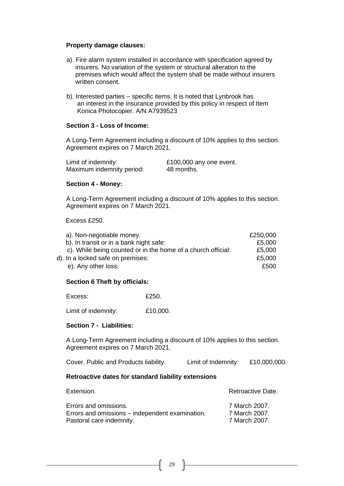#### **Property damage clauses:**

- a). Fire alarm system installed in accordance with specification agreed by insurers. No variation of the system or structural alteration to the premises which would affect the system shall be made without insurers written consent.
- b). Interested parties specific items. It is noted that Lynbrook has an interest in the insurance provided by this policy in respect of Item Konica Photocopier. A/N A7939523

## **Section 3 - Loss of Income:**

A Long-Term Agreement including a discount of 10% applies to this section. Agreement expires on 7 March 2021.

| Limit of indemnity:       | £100,000 any one event. |
|---------------------------|-------------------------|
| Maximum indemnity period: | 48 months.              |

#### **Section 4 - Money:**

A Long-Term Agreement including a discount of 10% applies to this section. Agreement expires on 7 March 2021.

Excess £250.

| a). Non-negotiable money.                                    | £250,000 |
|--------------------------------------------------------------|----------|
| b). In transit or in a bank night safe:                      | £5,000   |
| c). While being counted or in the home of a church official: | £5,000   |
| d). In a locked safe on premises:                            | £5,000   |
| e). Any other loss:                                          | £500     |

#### **Section 6 Theft by officials:**

Excess: £250.

Limit of indemnity: £10,000.

#### **Section 7 - Liabilities:**

A Long-Term Agreement including a discount of 10% applies to this section. Agreement expires on 7 March 2021.

Cover. Public and Products liability. Limit of Indemnity: £10,000,000.

#### **Retroactive dates for standard liability extensions**

| Extension.                                                               | Retroactive Date.              |
|--------------------------------------------------------------------------|--------------------------------|
| Errors and omissions.<br>Errors and omissions – independent examination. | 7 March 2007.<br>7 March 2007. |
| Pastoral care indemnity.                                                 | 7 March 2007.                  |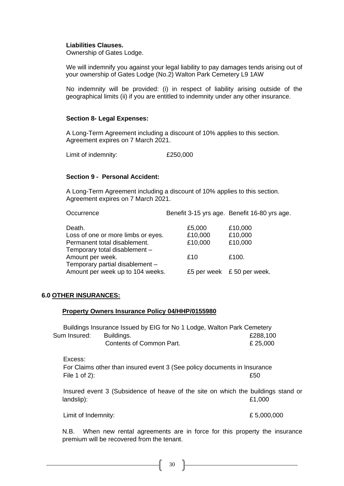## **Liabilities Clauses.**

Ownership of Gates Lodge.

We will indemnify you against your legal liability to pay damages tends arising out of your ownership of Gates Lodge (No.2) Walton Park Cemetery L9 1AW

No indemnity will be provided: (i) in respect of liability arising outside of the geographical limits (ii) if you are entitled to indemnity under any other insurance.

## **Section 8- Legal Expenses:**

A Long-Term Agreement including a discount of 10% applies to this section. Agreement expires on 7 March 2021.

Limit of indemnity:  $£250,000$ 

# **Section 9 - Personal Accident:**

A Long-Term Agreement including a discount of 10% applies to this section. Agreement expires on 7 March 2021.

|                                  | Benefit 3-15 yrs age. Benefit 16-80 yrs age. |
|----------------------------------|----------------------------------------------|
| £5,000                           | £10,000                                      |
| £10,000                          | £10,000                                      |
| £10,000                          | £10,000                                      |
|                                  |                                              |
| £10                              | £100.                                        |
|                                  |                                              |
| Amount per week up to 104 weeks. | £5 per week £50 per week.                    |
|                                  |                                              |

# **6.0 OTHER INSURANCES:**

#### **Property Owners Insurance Policy 04/HHP/0155980**

|              | Buildings Insurance Issued by EIG for No 1 Lodge, Walton Park Cemetery |          |
|--------------|------------------------------------------------------------------------|----------|
| Sum Insured: | Buildings.                                                             | £288,100 |
|              | Contents of Common Part.                                               | £ 25,000 |

Excess:

For Claims other than insured event 3 (See policy documents in Insurance File 1 of 2): **E50** 

Insured event 3 (Subsidence of heave of the site on which the buildings stand or landslip):  $£1,000$ 

Limit of Indemnity:  $\pounds$  5,000,000

N.B. When new rental agreements are in force for this property the insurance premium will be recovered from the tenant.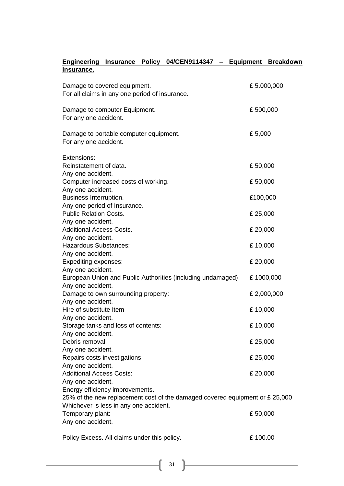|                                                                 |  | Engineering Insurance Policy 04/CEN9114347 - Equipment Breakdown             |             |  |
|-----------------------------------------------------------------|--|------------------------------------------------------------------------------|-------------|--|
| <u>Insurance.</u>                                               |  |                                                                              |             |  |
| Damage to covered equipment.                                    |  |                                                                              | £5.000,000  |  |
| For all claims in any one period of insurance.                  |  |                                                                              |             |  |
| Damage to computer Equipment.<br>For any one accident.          |  |                                                                              | £500,000    |  |
| Damage to portable computer equipment.<br>For any one accident. |  |                                                                              | £5,000      |  |
| Extensions:<br>Reinstatement of data.                           |  |                                                                              | £50,000     |  |
| Any one accident.                                               |  |                                                                              |             |  |
| Computer increased costs of working.                            |  |                                                                              | £50,000     |  |
| Any one accident.                                               |  |                                                                              |             |  |
| Business Interruption.                                          |  |                                                                              | £100,000    |  |
| Any one period of Insurance.<br><b>Public Relation Costs.</b>   |  |                                                                              | £ 25,000    |  |
| Any one accident.                                               |  |                                                                              |             |  |
| <b>Additional Access Costs.</b>                                 |  |                                                                              | £ 20,000    |  |
| Any one accident.                                               |  |                                                                              |             |  |
| <b>Hazardous Substances:</b>                                    |  |                                                                              | £10,000     |  |
| Any one accident.<br><b>Expediting expenses:</b>                |  |                                                                              | £ 20,000    |  |
| Any one accident.                                               |  |                                                                              |             |  |
|                                                                 |  | European Union and Public Authorities (including undamaged)                  | £1000,000   |  |
| Any one accident.                                               |  |                                                                              |             |  |
| Damage to own surrounding property:                             |  |                                                                              | £ 2,000,000 |  |
| Any one accident.<br>Hire of substitute Item                    |  |                                                                              | £10,000     |  |
| Any one accident.                                               |  |                                                                              |             |  |
| Storage tanks and loss of contents:                             |  |                                                                              | £10,000     |  |
| Any one accident.                                               |  |                                                                              |             |  |
| Debris removal.                                                 |  |                                                                              | £ 25,000    |  |
| Any one accident.                                               |  |                                                                              |             |  |
| Repairs costs investigations:<br>Any one accident.              |  |                                                                              | £ 25,000    |  |
| <b>Additional Access Costs:</b>                                 |  |                                                                              | £ 20,000    |  |
| Any one accident.                                               |  |                                                                              |             |  |
| Energy efficiency improvements.                                 |  | 25% of the new replacement cost of the damaged covered equipment or £ 25,000 |             |  |
| Whichever is less in any one accident.<br>Temporary plant:      |  |                                                                              | £50,000     |  |
| Any one accident.                                               |  |                                                                              |             |  |
|                                                                 |  |                                                                              |             |  |
| Policy Excess. All claims under this policy.                    |  |                                                                              | £100.00     |  |
|                                                                 |  |                                                                              |             |  |

 $\left\{ \begin{array}{c} 31 \end{array} \right\}$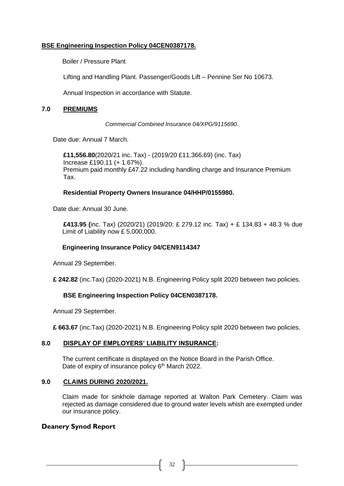# **BSE Engineering Inspection Policy 04CEN0387178.**

Boiler / Pressure Plant

Lifting and Handling Plant. Passenger/Goods Lift – Pennine Ser No 10673.

Annual Inspection in accordance with Statute.

# **7.0 PREMIUMS**

*Commercial Combined Insurance 04/XPG/9115690.*

Date due: Annual 7 March.

**£11,556.80**(2020/21 inc. Tax) - (2019/20 £11,366.69) (inc. Tax) Increase £190.11 (+ 1.67%). Premium paid monthly £47.22 including handling charge and Insurance Premium Tax.

# **Residential Property Owners Insurance 04/HHP/0155980.**

Date due: Annual 30 June.

**£413.95 (**inc. Tax) (2020/21) (2019/20: £ 279.12 inc. Tax) + £ 134.83 + 48.3 % due Limit of Liability now £ 5,000,000.

# **Engineering Insurance Policy 04/CEN9114347**

Annual 29 September.

**£ 242.82** (inc.Tax) (2020-2021) N.B. Engineering Policy split 2020 between two policies.

# **BSE Engineering Inspection Policy 04CEN0387178.**

Annual 29 September.

**£ 663.67** (inc.Tax) (2020-2021) N.B. Engineering Policy split 2020 between two policies.

# **8.0 DISPLAY OF EMPLOYERS' LIABILITY INSURANCE:**

The current certificate is displayed on the Notice Board in the Parish Office. Date of expiry of insurance policy 6<sup>th</sup> March 2022.

# **9.0 CLAIMS DURING 2020/2021.**

Claim made for sinkhole damage reported at Walton Park Cemetery. Claim was rejected as damage considered due to ground water levels whish are exempted under our insurance policy.

# **Deanery Synod Report**